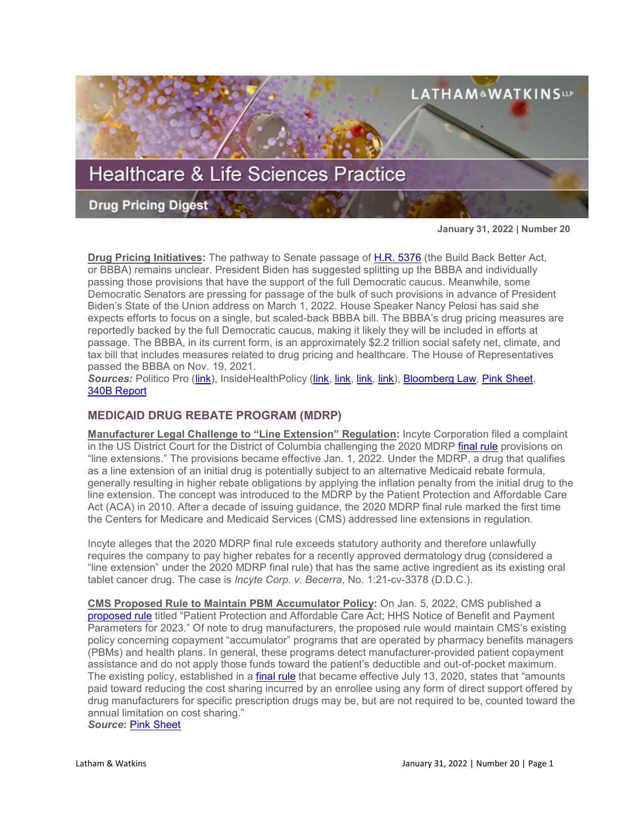

**January 31, 2022 | Number 20**

**Drug Pricing Initiatives:** The pathway to Senate passage of [H.R. 5376](https://www.sites.lwcommunicate.com/e/rsuy4ryabtyriig/f831d9cf-6927-4352-a6f9-2b8f768792b1) (the Build Back Better Act, or BBBA) remains unclear. President Biden has suggested splitting up the BBBA and individually passing those provisions that have the support of the full Democratic caucus. Meanwhile, some Democratic Senators are pressing for passage of the bulk of such provisions in advance of President Biden's State of the Union address on March 1, 2022. House Speaker Nancy Pelosi has said she expects efforts to focus on a single, but scaled-back BBBA bill. The BBBA's drug pricing measures are reportedly backed by the full Democratic caucus, making it likely they will be included in efforts at passage. The BBBA, in its current form, is an approximately \$2.2 trillion social safety net, climate, and tax bill that includes measures related to drug pricing and healthcare. The House of Representatives passed the BBBA on Nov. 19, 2021.

*Sources:* Politico Pro [\(link\)](https://subscriber.politicopro.com/newsletter/2022/01/inside-trumps-friends-first-vaccine-distribution-plan-00003106), InsideHealthPolicy [\(link,](https://insidehealthpolicy.com/daily-news/biden-open-breaking-bbb-giving-drug-pricing-aca-credits-new-lifeline) [link,](https://insidehealthpolicy.com/daily-news/pelosi-says-democrats-will-pursue-single-skinnier-reconciliation-bill) [link,](https://insidehealthpolicy.com/daily-news/wyden-health-care-clean-energy-tax-credits-be-part-same-bill) [link\)](https://insidehealthpolicy.com/daily-news/biden-open-breaking-bbb-giving-drug-pricing-aca-credits-new-lifeline), [Bloomberg Law,](https://www.bloomberglaw.com/product/blaw/bloomberglawnews/bloomberg-law-news/X8DG2DD0000000?bc=W1siU2VhcmNoICYgQnJvd3NlIiwiaHR0cHM6Ly93d3cuYmxvb21iZXJnbGF3LmNvbS9wcm9kdWN0L2JsYXcvc2VhcmNoL3Jlc3VsdHMvYzEyYjViZmUyZGQzNGY0MDVmNmU1MWNlNzQwZGM1ZTUiXV0--9b1bc3862416843f43f5e0560f171024aaba5865&bna_news_filter=bloomberg-law-news&criteria_id=c12b5bfe2dd34f405f6e51ce740dc5e5&search32=AQ87oYbiOEDDhk_zxP2MIQ%3D%3D4IbAvm6zQ2Wgy82lwfd2KKctoFoOgIRhgz6muipLI3kob_MYKh9l3Ne6gestRtJ2H2cUrg_nrjra_g2wSBHe9fsfgu6zvLAKlUFmb70obSUxEEkoZrofe0aF0uih5brZCh41zZ-PotOUrvldpyjuImFKr4c1GwkhRV1x1nnxBuU%3D) [Pink Sheet,](https://pink.pharmaintelligence.informa.com/PS145573/Tweaks-To-CBO-Model-May-Add-Another-Hurdle-To-Congressional-Drug-Pricing-Reform-Effort) 340B [Report](https://340breport.com/democrats-weight-passing-build-back-better-act-possibly-including-drug-pricing-reforms-in-chunks/)

# **MEDICAID DRUG REBATE PROGRAM (MDRP)**

**Manufacturer Legal Challenge to "Line Extension" Regulation:** Incyte Corporation filed a complaint in the US District Court for the District of Columbia challenging the 2020 MDRP [final rule](https://www.federalregister.gov/documents/2020/12/31/2020-28567/medicaid-program-establishing-minimum-standards-in-medicaid-state-drug-utilization-review-dur-and) provisions on "line extensions." The provisions became effective Jan. 1, 2022. Under the MDRP, a drug that qualifies as a line extension of an initial drug is potentially subject to an alternative Medicaid rebate formula, generally resulting in higher rebate obligations by applying the inflation penalty from the initial drug to the line extension. The concept was introduced to the MDRP by the Patient Protection and Affordable Care Act (ACA) in 2010. After a decade of issuing guidance, the 2020 MDRP final rule marked the first time the Centers for Medicare and Medicaid Services (CMS) addressed line extensions in regulation.

Incyte alleges that the 2020 MDRP final rule exceeds statutory authority and therefore unlawfully requires the company to pay higher rebates for a recently approved dermatology drug (considered a "line extension" under the 2020 MDRP final rule) that has the same active ingredient as its existing oral tablet cancer drug. The case is *Incyte Corp. v. Becerra*, No. 1:21-cv-3378 (D.D.C.).

**CMS Proposed Rule to Maintain PBM Accumulator Policy:** On Jan. 5, 2022, CMS published a [proposed rule](https://www.federalregister.gov/documents/2022/01/05/2021-28317/patient-protection-and-affordable-care-act-hhs-notice-of-benefit-and-payment-parameters-for-2023) titled "Patient Protection and Affordable Care Act; HHS Notice of Benefit and Payment Parameters for 2023." Of note to drug manufacturers, the proposed rule would maintain CMS's existing policy concerning copayment "accumulator" programs that are operated by pharmacy benefits managers (PBMs) and health plans. In general, these programs detect manufacturer-provided patient copayment assistance and do not apply those funds toward the patient's deductible and out-of-pocket maximum. The existing policy, established in a [final rule](https://www.federalregister.gov/documents/2020/05/14/2020-10045/patient-protection-and-affordable-care-act-hhs-notice-of-benefit-and-payment-parameters-for-2021) that became effective July 13, 2020, states that "amounts paid toward reducing the cost sharing incurred by an enrollee using any form of direct support offered by drug manufacturers for specific prescription drugs may be, but are not required to be, counted toward the annual limitation on cost sharing."

*Source***:** [Pink Sheet](https://pink.pharmaintelligence.informa.com/PS145467/Copay-Accumulator-Programs-Allowed-In-2023-Private-Insurance-Market-In-Proposed-Rule)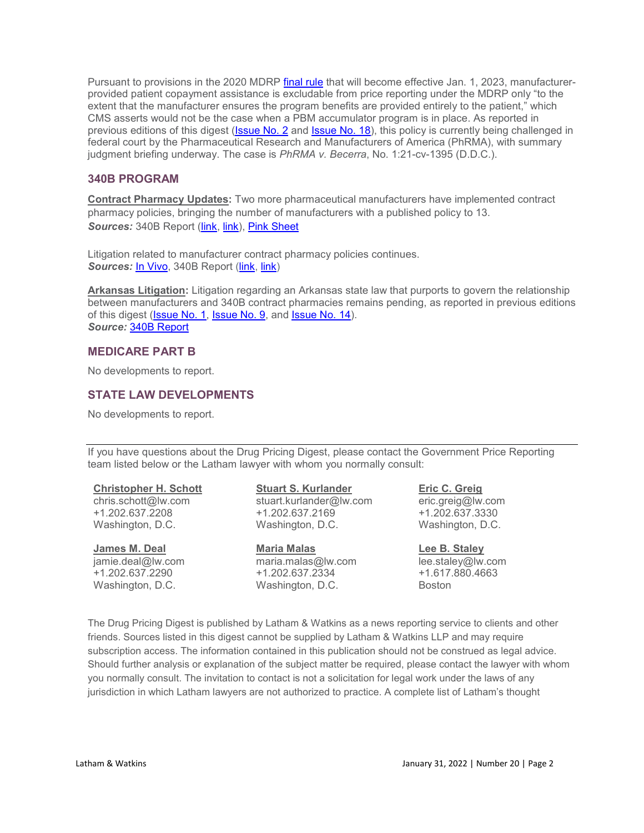Pursuant to provisions in the 2020 MDRP [final rule](https://www.federalregister.gov/documents/2020/12/31/2020-28567/medicaid-program-establishing-minimum-standards-in-medicaid-state-drug-utilization-review-dur-and) that will become effective Jan. 1, 2023, manufacturerprovided patient copayment assistance is excludable from price reporting under the MDRP only "to the extent that the manufacturer ensures the program benefits are provided entirely to the patient," which CMS asserts would not be the case when a PBM accumulator program is in place. As reported in previous editions of this digest [\(Issue No. 2](https://www.lw.com/thoughtLeadership/healthcare-life-sciences-drug-pricing-digest-number-2) and [Issue No. 18\)](https://www.lw.com/thoughtLeadership/healthcare-life-sciences-drug-pricing-digest-number-18), this policy is currently being challenged in federal court by the Pharmaceutical Research and Manufacturers of America (PhRMA), with summary judgment briefing underway. The case is *PhRMA v. Becerra*, No. 1:21-cv-1395 (D.D.C.).

## **340B PROGRAM**

**Contract Pharmacy Updates:** Two more pharmaceutical manufacturers have implemented contract pharmacy policies, bringing the number of manufacturers with a published policy to 13. Sources: 340B Report [\(link,](https://340breport.com/news-alert-pfizer-becomes-the-13th-drug-maker-to-limit-340b-contract-pharmacy/) [link\)](https://340breport.com/breaking-news-bms-clamps-down-on-340b-contract-pharmacy-for-most-of-its-drugs-but-expands-340b-access-to-its-controversial-myeloma-meds-program/), [Pink Sheet](https://pink.pharmaintelligence.informa.com/PS145595/Manufacturer-Restrictions-On-340B-Discounts-Cut-Contract-PharmacyBased-Savings-23-Or-More)

Litigation related to manufacturer contract pharmacy policies continues. **Sources: [In Vivo,](https://invivo.pharmaintelligence.informa.com/IV124966/Pharma-Versus-Hospitals-340B-Battle-Continues?utm_medium=email&utm_source=sfmc&utm_campaign=MH+-+INVIVO+-+Monthly+Highlights&utm_id=4231853&sfmc_id=197037759) 340B Report [\(link,](https://340breport.com/health-center-opposes-astrazenecas-motion-to-pause-340b-dispute-resolution-proceedings-over-companys-contract-pharmacy-policy/) [link\)](https://340breport.com/with-judge-in-astra-340b-case-about-to-get-promotion-what-will-happen-to-the-highly-anticipated-case/)** 

**Arkansas Litigation:** Litigation regarding an Arkansas state law that purports to govern the relationship between manufacturers and 340B contract pharmacies remains pending, as reported in previous editions of this digest [\(Issue No. 1,](https://www.lw.com/thoughtLeadership/healthcare-life-sciences-drug-pricing-digest-number-1) [Issue No. 9,](https://www.lw.com/thoughtLeadership/healthcare-life-sciences-drug-pricing-digest-number-9) and [Issue No. 14\)](https://www.lw.com/thoughtLeadership/healthcare-life-sciences-drug-pricing-digest-number-14). *Source:* [340B Report](https://340breport.com/phrma-and-arkansas-seek-faster-court-ruling-on-states-novel-340b-contract-pharmacy-law/)

## **MEDICARE PART B**

No developments to report.

## **STATE LAW DEVELOPMENTS**

No developments to report.

If you have questions about the Drug Pricing Digest, please contact the Government Price Reporting team listed below or the Latham lawyer with whom you normally consult:

# **[Christopher H. Schott](https://www.lw.com/people/christopher-schott)**

chris.schott@lw.com +1.202.637.2208 Washington, D.C.

#### **[James M. Deal](mailto:jamie.deal@lw.com)**

jamie.deal@lw.com +1.202.637.2290 Washington, D.C.

# **[Stuart S. Kurlander](https://www.lw.com/people/stuart-kurlander)**

stuart.com +1.202.637.2169 Washington, D.C.

#### **[Maria Malas](mailto:maria.malas@lw.com)**

maria.malas@lw.com +1.202.637.2334 Washington, D.C.

# **[Eric C. Greig](https://www.lw.com/people/eric-greig)** eric.greig@lw.com +1.202.637.3330

Washington, D.C.

### **[Lee B. Staley](https://www.lw.com/people/lee-staley)**

lee.staley@lw.com +1.617.880.4663 Boston

The Drug Pricing Digest is published by Latham & Watkins as a news reporting service to clients and other friends. Sources listed in this digest cannot be supplied by Latham & Watkins LLP and may require subscription access. The information contained in this publication should not be construed as legal advice. Should further analysis or explanation of the subject matter be required, please contact the lawyer with whom you normally consult. The invitation to contact is not a solicitation for legal work under the laws of any jurisdiction in which Latham lawyers are not authorized to practice. A complete list of Latham's thought